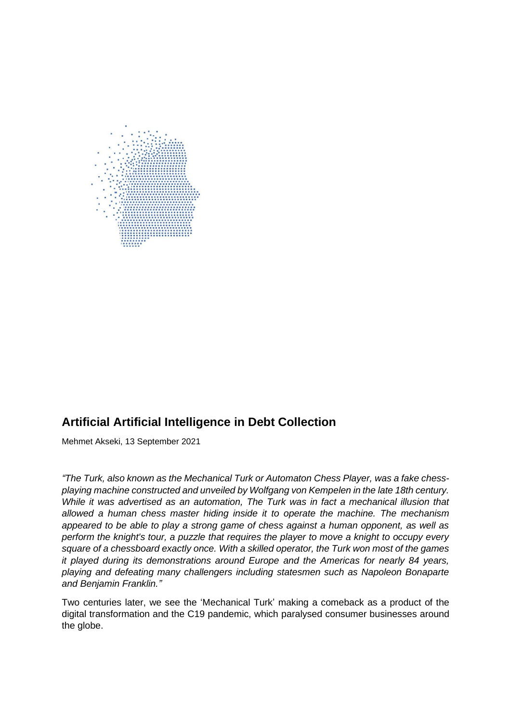

# **Artificial Artificial Intelligence in Debt Collection**

Mehmet Akseki, 13 September 2021

*"The Turk, also known as the Mechanical Turk or Automaton Chess Player, was a fake chessplaying machine constructed and unveiled by Wolfgang von Kempelen in the late 18th century. While it was advertised as an automation, The Turk was in fact a mechanical illusion that allowed a human chess master hiding inside it to operate the machine. The mechanism appeared to be able to play a strong game of chess against a human opponent, as well as perform the knight's tour, a puzzle that requires the player to move a knight to occupy every square of a chessboard exactly once. With a skilled operator, the Turk won most of the games it played during its demonstrations around Europe and the Americas for nearly 84 years, playing and defeating many challengers including statesmen such as Napoleon Bonaparte and Benjamin Franklin."*

Two centuries later, we see the 'Mechanical Turk' making a comeback as a product of the digital transformation and the C19 pandemic, which paralysed consumer businesses around the globe.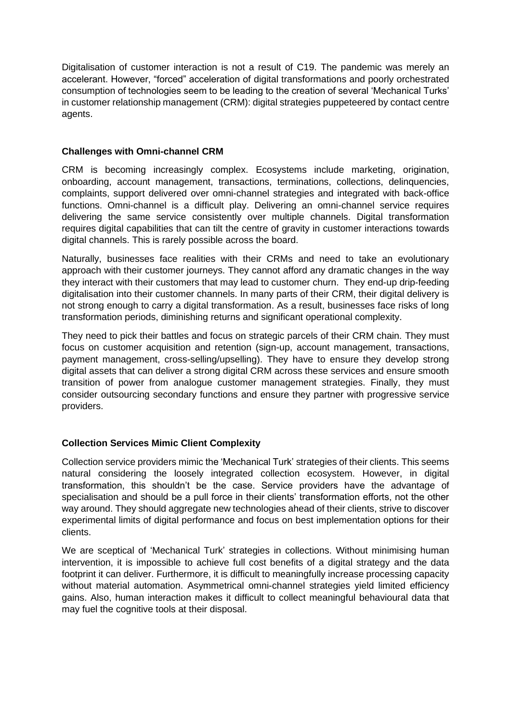Digitalisation of customer interaction is not a result of C19. The pandemic was merely an accelerant. However, "forced" acceleration of digital transformations and poorly orchestrated consumption of technologies seem to be leading to the creation of several 'Mechanical Turks' in customer relationship management (CRM): digital strategies puppeteered by contact centre agents.

## **Challenges with Omni-channel CRM**

CRM is becoming increasingly complex. Ecosystems include marketing, origination, onboarding, account management, transactions, terminations, collections, delinquencies, complaints, support delivered over omni-channel strategies and integrated with back-office functions. Omni-channel is a difficult play. Delivering an omni-channel service requires delivering the same service consistently over multiple channels. Digital transformation requires digital capabilities that can tilt the centre of gravity in customer interactions towards digital channels. This is rarely possible across the board.

Naturally, businesses face realities with their CRMs and need to take an evolutionary approach with their customer journeys. They cannot afford any dramatic changes in the way they interact with their customers that may lead to customer churn. They end-up drip-feeding digitalisation into their customer channels. In many parts of their CRM, their digital delivery is not strong enough to carry a digital transformation. As a result, businesses face risks of long transformation periods, diminishing returns and significant operational complexity.

They need to pick their battles and focus on strategic parcels of their CRM chain. They must focus on customer acquisition and retention (sign-up, account management, transactions, payment management, cross-selling/upselling). They have to ensure they develop strong digital assets that can deliver a strong digital CRM across these services and ensure smooth transition of power from analogue customer management strategies. Finally, they must consider outsourcing secondary functions and ensure they partner with progressive service providers.

# **Collection Services Mimic Client Complexity**

Collection service providers mimic the 'Mechanical Turk' strategies of their clients. This seems natural considering the loosely integrated collection ecosystem. However, in digital transformation, this shouldn't be the case. Service providers have the advantage of specialisation and should be a pull force in their clients' transformation efforts, not the other way around. They should aggregate new technologies ahead of their clients, strive to discover experimental limits of digital performance and focus on best implementation options for their clients.

We are sceptical of 'Mechanical Turk' strategies in collections. Without minimising human intervention, it is impossible to achieve full cost benefits of a digital strategy and the data footprint it can deliver. Furthermore, it is difficult to meaningfully increase processing capacity without material automation. Asymmetrical omni-channel strategies yield limited efficiency gains. Also, human interaction makes it difficult to collect meaningful behavioural data that may fuel the cognitive tools at their disposal.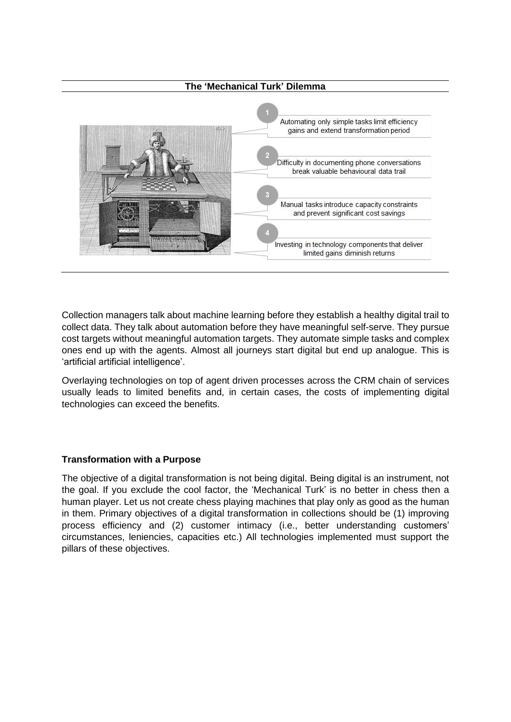

Collection managers talk about machine learning before they establish a healthy digital trail to collect data. They talk about automation before they have meaningful self-serve. They pursue cost targets without meaningful automation targets. They automate simple tasks and complex ones end up with the agents. Almost all journeys start digital but end up analogue. This is 'artificial artificial intelligence'.

Overlaying technologies on top of agent driven processes across the CRM chain of services usually leads to limited benefits and, in certain cases, the costs of implementing digital technologies can exceed the benefits.

#### **Transformation with a Purpose**

The objective of a digital transformation is not being digital. Being digital is an instrument, not the goal. If you exclude the cool factor, the 'Mechanical Turk' is no better in chess then a human player. Let us not create chess playing machines that play only as good as the human in them. Primary objectives of a digital transformation in collections should be (1) improving process efficiency and (2) customer intimacy (i.e., better understanding customers' circumstances, leniencies, capacities etc.) All technologies implemented must support the pillars of these objectives.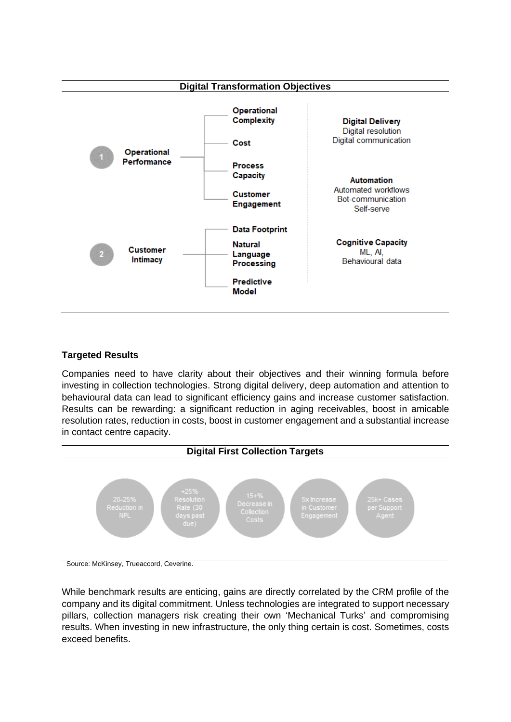

## **Targeted Results**

Companies need to have clarity about their objectives and their winning formula before investing in collection technologies. Strong digital delivery, deep automation and attention to behavioural data can lead to significant efficiency gains and increase customer satisfaction. Results can be rewarding: a significant reduction in aging receivables, boost in amicable resolution rates, reduction in costs, boost in customer engagement and a substantial increase in contact centre capacity.



Source: McKinsey, Trueaccord, Ceverine.

While benchmark results are enticing, gains are directly correlated by the CRM profile of the company and its digital commitment. Unless technologies are integrated to support necessary pillars, collection managers risk creating their own 'Mechanical Turks' and compromising results. When investing in new infrastructure, the only thing certain is cost. Sometimes, costs exceed benefits.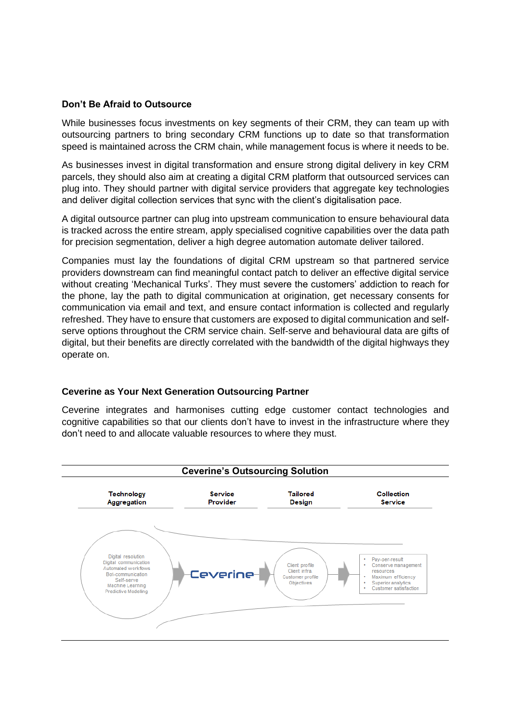#### **Don't Be Afraid to Outsource**

While businesses focus investments on key segments of their CRM, they can team up with outsourcing partners to bring secondary CRM functions up to date so that transformation speed is maintained across the CRM chain, while management focus is where it needs to be.

As businesses invest in digital transformation and ensure strong digital delivery in key CRM parcels, they should also aim at creating a digital CRM platform that outsourced services can plug into. They should partner with digital service providers that aggregate key technologies and deliver digital collection services that sync with the client's digitalisation pace.

A digital outsource partner can plug into upstream communication to ensure behavioural data is tracked across the entire stream, apply specialised cognitive capabilities over the data path for precision segmentation, deliver a high degree automation automate deliver tailored.

Companies must lay the foundations of digital CRM upstream so that partnered service providers downstream can find meaningful contact patch to deliver an effective digital service without creating 'Mechanical Turks'. They must severe the customers' addiction to reach for the phone, lay the path to digital communication at origination, get necessary consents for communication via email and text, and ensure contact information is collected and regularly refreshed. They have to ensure that customers are exposed to digital communication and selfserve options throughout the CRM service chain. Self-serve and behavioural data are gifts of digital, but their benefits are directly correlated with the bandwidth of the digital highways they operate on.

#### **Ceverine as Your Next Generation Outsourcing Partner**

Ceverine integrates and harmonises cutting edge customer contact technologies and cognitive capabilities so that our clients don't have to invest in the infrastructure where they don't need to and allocate valuable resources to where they must.